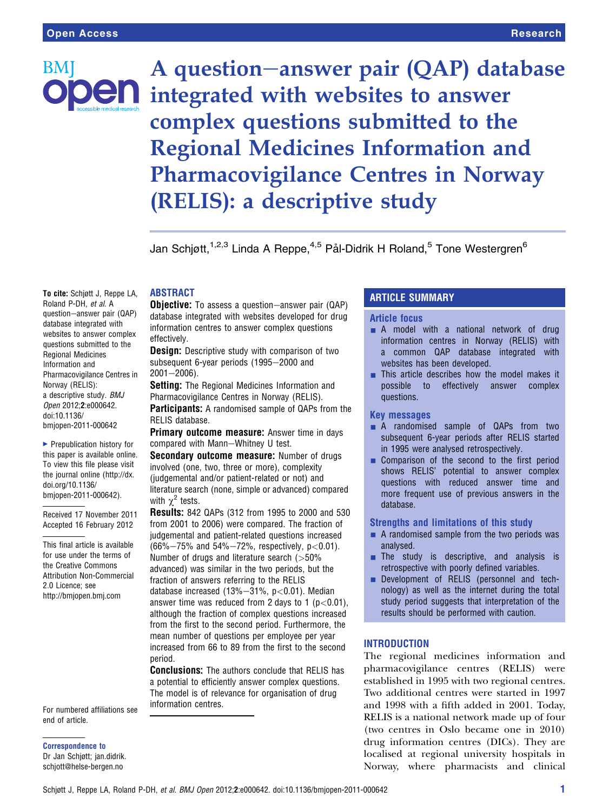

A question-answer pair (QAP) database **ICO** integrated with websites to answer complex questions submitted to the Regional Medicines Information and Pharmacovigilance Centres in Norway (RELIS): a descriptive study

Jan Schjøtt,<sup>1,2,3</sup> Linda A Reppe,<sup>4,5</sup> Pål-Didrik H Roland,<sup>5</sup> Tone Westergren<sup>6</sup>

# ABSTRACT

**Objective:** To assess a question-answer pair (QAP) database integrated with websites developed for drug information centres to answer complex questions effectively.

**Design:** Descriptive study with comparison of two subsequent 6-year periods (1995-2000 and  $2001 - 2006$ ).

Setting: The Regional Medicines Information and Pharmacovigilance Centres in Norway (RELIS).

Participants: A randomised sample of QAPs from the RELIS database.

**Primary outcome measure:** Answer time in days compared with Mann-Whitney U test.

Secondary outcome measure: Number of drugs involved (one, two, three or more), complexity (judgemental and/or patient-related or not) and literature search (none, simple or advanced) compared with  $\chi^2$  tests.

Results: 842 QAPs (312 from 1995 to 2000 and 530 from 2001 to 2006) were compared. The fraction of judgemental and patient-related questions increased (66% $-75$ % and 54% $-72$ %, respectively, p<0.01). Number of drugs and literature search  $(>50\%)$ advanced) was similar in the two periods, but the fraction of answers referring to the RELIS database increased (13% $-31$ %, p<0.01). Median answer time was reduced from 2 days to 1 ( $p < 0.01$ ), although the fraction of complex questions increased from the first to the second period. Furthermore, the mean number of questions per employee per year increased from 66 to 89 from the first to the second period.

**Conclusions:** The authors conclude that RELIS has a potential to efficiently answer complex questions. The model is of relevance for organisation of drug information centres.

## ARTICLE SUMMARY

Article focus

- $\blacksquare$  A model with a national network of drug information centres in Norway (RELIS) with a common QAP database integrated with websites has been developed.
- $\blacksquare$  This article describes how the model makes it possible to effectively answer complex questions.

### Key messages

- A randomised sample of QAPs from two subsequent 6-year periods after RELIS started in 1995 were analysed retrospectively.
- **Comparison of the second to the first period** shows RELIS' potential to answer complex questions with reduced answer time and more frequent use of previous answers in the database.

Strengths and limitations of this study

- $\blacksquare$  A randomised sample from the two periods was analysed.
- $\blacksquare$  The study is descriptive, and analysis is retrospective with poorly defined variables.
- **Development of RELIS (personnel and tech**nology) as well as the internet during the total study period suggests that interpretation of the results should be performed with caution.

## **INTRODUCTION**

The regional medicines information and pharmacovigilance centres (RELIS) were established in 1995 with two regional centres. Two additional centres were started in 1997 and 1998 with a fifth added in 2001. Today, RELIS is a national network made up of four (two centres in Oslo became one in 2010) drug information centres (DICs). They are localised at regional university hospitals in Norway, where pharmacists and clinical

To cite: Schjøtt J, Reppe LA, Roland P-DH, et al. A question-answer pair (QAP) database integrated with websites to answer complex questions submitted to the Regional Medicines Information and Pharmacovigilance Centres in Norway (RELIS): a descriptive study. BMJ Open 2012;2:e000642. doi:10.1136/ bmjopen-2011-000642

**Prepublication history for** this paper is available online. To view this file please visit the journal online (http://dx. doi.org/10.1136/ bmjopen-2011-000642).

Received 17 November 2011 Accepted 16 February 2012

This final article is available for use under the terms of the Creative Commons Attribution Non-Commercial 2.0 Licence; see http://bmjopen.bmj.com

For numbered affiliations see end of article.

Correspondence to

Dr Jan Schjøtt; jan.didrik. schjott@helse-bergen.no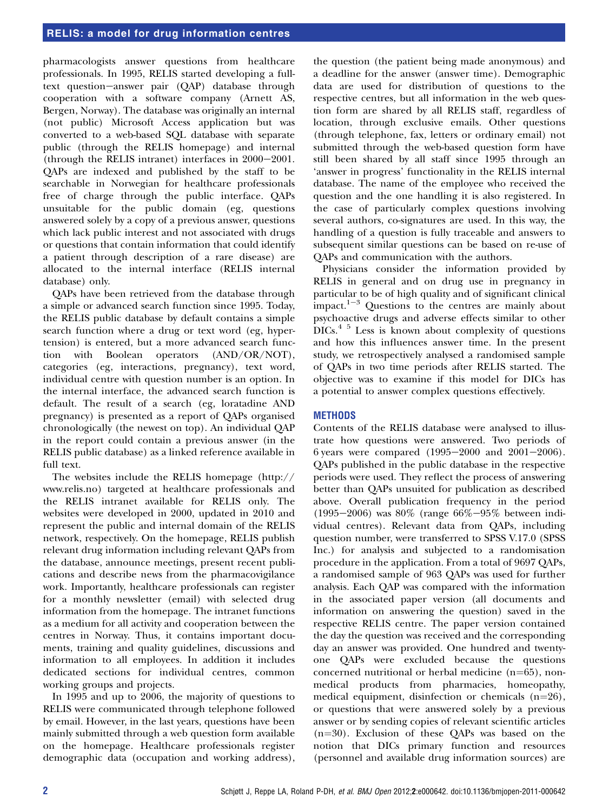pharmacologists answer questions from healthcare professionals. In 1995, RELIS started developing a fulltext question-answer pair (QAP) database through cooperation with a software company (Arnett AS, Bergen, Norway). The database was originally an internal (not public) Microsoft Access application but was converted to a web-based SQL database with separate public (through the RELIS homepage) and internal (through the RELIS intranet) interfaces in  $2000-2001$ . QAPs are indexed and published by the staff to be searchable in Norwegian for healthcare professionals free of charge through the public interface. QAPs unsuitable for the public domain (eg, questions answered solely by a copy of a previous answer, questions which lack public interest and not associated with drugs or questions that contain information that could identify a patient through description of a rare disease) are allocated to the internal interface (RELIS internal database) only.

QAPs have been retrieved from the database through a simple or advanced search function since 1995. Today, the RELIS public database by default contains a simple search function where a drug or text word (eg, hypertension) is entered, but a more advanced search func-<br>tion with Boolean operators (AND/OR/NOT), tion with Boolean operators categories (eg, interactions, pregnancy), text word, individual centre with question number is an option. In the internal interface, the advanced search function is default. The result of a search (eg, loratadine AND pregnancy) is presented as a report of QAPs organised chronologically (the newest on top). An individual QAP in the report could contain a previous answer (in the RELIS public database) as a linked reference available in full text.

The websites include the RELIS homepage (http:// www.relis.no) targeted at healthcare professionals and the RELIS intranet available for RELIS only. The websites were developed in 2000, updated in 2010 and represent the public and internal domain of the RELIS network, respectively. On the homepage, RELIS publish relevant drug information including relevant QAPs from the database, announce meetings, present recent publications and describe news from the pharmacovigilance work. Importantly, healthcare professionals can register for a monthly newsletter (email) with selected drug information from the homepage. The intranet functions as a medium for all activity and cooperation between the centres in Norway. Thus, it contains important documents, training and quality guidelines, discussions and information to all employees. In addition it includes dedicated sections for individual centres, common working groups and projects.

In 1995 and up to 2006, the majority of questions to RELIS were communicated through telephone followed by email. However, in the last years, questions have been mainly submitted through a web question form available on the homepage. Healthcare professionals register demographic data (occupation and working address),

the question (the patient being made anonymous) and a deadline for the answer (answer time). Demographic data are used for distribution of questions to the respective centres, but all information in the web question form are shared by all RELIS staff, regardless of location, through exclusive emails. Other questions (through telephone, fax, letters or ordinary email) not submitted through the web-based question form have still been shared by all staff since 1995 through an 'answer in progress' functionality in the RELIS internal database. The name of the employee who received the question and the one handling it is also registered. In the case of particularly complex questions involving several authors, co-signatures are used. In this way, the handling of a question is fully traceable and answers to subsequent similar questions can be based on re-use of QAPs and communication with the authors.

Physicians consider the information provided by RELIS in general and on drug use in pregnancy in particular to be of high quality and of significant clinical impact. $1-3$  Questions to the centres are mainly about psychoactive drugs and adverse effects similar to other  $\overline{DICs}$ <sup>4 5</sup> Less is known about complexity of questions and how this influences answer time. In the present study, we retrospectively analysed a randomised sample of QAPs in two time periods after RELIS started. The objective was to examine if this model for DICs has a potential to answer complex questions effectively.

## **METHODS**

Contents of the RELIS database were analysed to illustrate how questions were answered. Two periods of 6 years were compared  $(1995-2000$  and  $2001-2006)$ . QAPs published in the public database in the respective periods were used. They reflect the process of answering better than QAPs unsuited for publication as described above. Overall publication frequency in the period (1995–2006) was  $80\%$  (range  $66\%$ –95% between individual centres). Relevant data from QAPs, including question number, were transferred to SPSS V.17.0 (SPSS Inc.) for analysis and subjected to a randomisation procedure in the application. From a total of 9697 QAPs, a randomised sample of 963 QAPs was used for further analysis. Each QAP was compared with the information in the associated paper version (all documents and information on answering the question) saved in the respective RELIS centre. The paper version contained the day the question was received and the corresponding day an answer was provided. One hundred and twentyone QAPs were excluded because the questions concerned nutritional or herbal medicine  $(n=65)$ , nonmedical products from pharmacies, homeopathy, medical equipment, disinfection or chemicals  $(n=26)$ , or questions that were answered solely by a previous answer or by sending copies of relevant scientific articles  $(n=30)$ . Exclusion of these QAPs was based on the notion that DICs primary function and resources (personnel and available drug information sources) are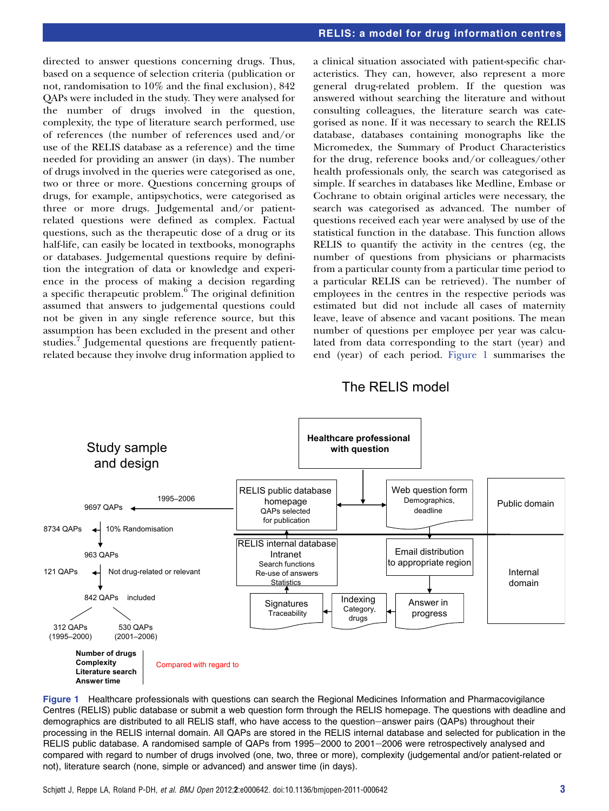## RELIS: a model for drug information centres

directed to answer questions concerning drugs. Thus, based on a sequence of selection criteria (publication or not, randomisation to 10% and the final exclusion), 842 QAPs were included in the study. They were analysed for the number of drugs involved in the question, complexity, the type of literature search performed, use of references (the number of references used and/or use of the RELIS database as a reference) and the time needed for providing an answer (in days). The number of drugs involved in the queries were categorised as one, two or three or more. Questions concerning groups of drugs, for example, antipsychotics, were categorised as three or more drugs. Judgemental and/or patientrelated questions were defined as complex. Factual questions, such as the therapeutic dose of a drug or its half-life, can easily be located in textbooks, monographs or databases. Judgemental questions require by definition the integration of data or knowledge and experience in the process of making a decision regarding a specific therapeutic problem.<sup>6</sup> The original definition assumed that answers to judgemental questions could not be given in any single reference source, but this assumption has been excluded in the present and other studies.<sup>7</sup> Judgemental questions are frequently patientrelated because they involve drug information applied to a clinical situation associated with patient-specific characteristics. They can, however, also represent a more general drug-related problem. If the question was answered without searching the literature and without consulting colleagues, the literature search was categorised as none. If it was necessary to search the RELIS database, databases containing monographs like the Micromedex, the Summary of Product Characteristics for the drug, reference books and/or colleagues/other health professionals only, the search was categorised as simple. If searches in databases like Medline, Embase or Cochrane to obtain original articles were necessary, the search was categorised as advanced. The number of questions received each year were analysed by use of the statistical function in the database. This function allows RELIS to quantify the activity in the centres (eg, the number of questions from physicians or pharmacists from a particular county from a particular time period to a particular RELIS can be retrieved). The number of employees in the centres in the respective periods was estimated but did not include all cases of maternity leave, leave of absence and vacant positions. The mean number of questions per employee per year was calculated from data corresponding to the start (year) and end (year) of each period. Figure 1 summarises the

# The RELIS model



Figure 1 Healthcare professionals with questions can search the Regional Medicines Information and Pharmacovigilance Centres (RELIS) public database or submit a web question form through the RELIS homepage. The questions with deadline and demographics are distributed to all RELIS staff, who have access to the question-answer pairs (QAPs) throughout their processing in the RELIS internal domain. All QAPs are stored in the RELIS internal database and selected for publication in the RELIS public database. A randomised sample of QAPs from 1995-2000 to 2001-2006 were retrospectively analysed and compared with regard to number of drugs involved (one, two, three or more), complexity (judgemental and/or patient-related or not), literature search (none, simple or advanced) and answer time (in days).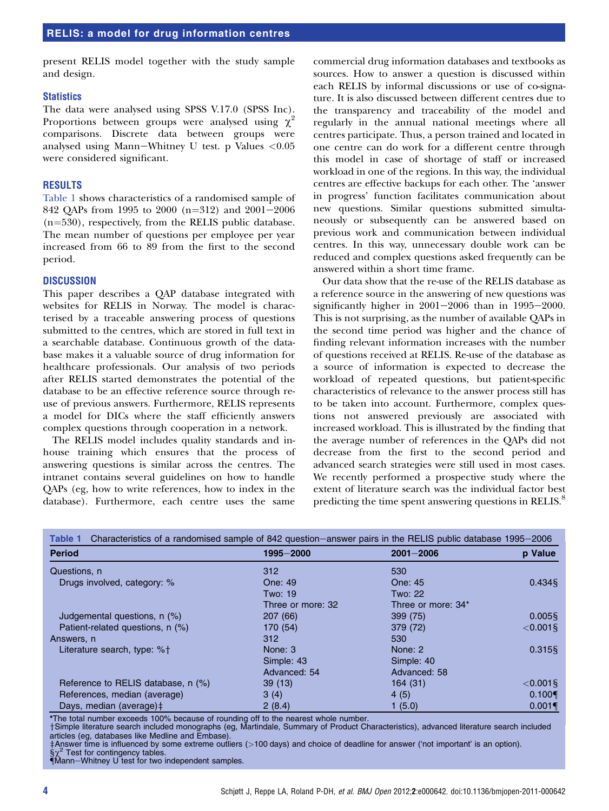present RELIS model together with the study sample and design.

### **Statistics**

The data were analysed using SPSS V.17.0 (SPSS Inc). Proportions between groups were analysed using  $\chi^2$ comparisons. Discrete data between groups were analysed using Mann-Whitney U test. p Values  $< 0.05$ were considered significant.

## RESULTS

Table 1 shows characteristics of a randomised sample of 842 QAPs from 1995 to 2000 (n=312) and  $2001-2006$  $(n=530)$ , respectively, from the RELIS public database. The mean number of questions per employee per year increased from 66 to 89 from the first to the second period.

#### **DISCUSSION**

This paper describes a QAP database integrated with websites for RELIS in Norway. The model is characterised by a traceable answering process of questions submitted to the centres, which are stored in full text in a searchable database. Continuous growth of the database makes it a valuable source of drug information for healthcare professionals. Our analysis of two periods after RELIS started demonstrates the potential of the database to be an effective reference source through reuse of previous answers. Furthermore, RELIS represents a model for DICs where the staff efficiently answers complex questions through cooperation in a network.

The RELIS model includes quality standards and inhouse training which ensures that the process of answering questions is similar across the centres. The intranet contains several guidelines on how to handle QAPs (eg, how to write references, how to index in the database). Furthermore, each centre uses the same

commercial drug information databases and textbooks as sources. How to answer a question is discussed within each RELIS by informal discussions or use of co-signature. It is also discussed between different centres due to the transparency and traceability of the model and regularly in the annual national meetings where all centres participate. Thus, a person trained and located in one centre can do work for a different centre through this model in case of shortage of staff or increased workload in one of the regions. In this way, the individual centres are effective backups for each other. The 'answer in progress' function facilitates communication about new questions. Similar questions submitted simultaneously or subsequently can be answered based on previous work and communication between individual centres. In this way, unnecessary double work can be reduced and complex questions asked frequently can be answered within a short time frame.

Our data show that the re-use of the RELIS database as a reference source in the answering of new questions was significantly higher in  $2001-2006$  than in  $1995-2000$ . This is not surprising, as the number of available QAPs in the second time period was higher and the chance of finding relevant information increases with the number of questions received at RELIS. Re-use of the database as a source of information is expected to decrease the workload of repeated questions, but patient-specific characteristics of relevance to the answer process still has to be taken into account. Furthermore, complex questions not answered previously are associated with increased workload. This is illustrated by the finding that the average number of references in the QAPs did not decrease from the first to the second period and advanced search strategies were still used in most cases. We recently performed a prospective study where the extent of literature search was the individual factor best predicting the time spent answering questions in RELIS.<sup>8</sup>

| Characteristics of a randomised sample of 842 question–answer pairs in the RELIS public database 1995–2006<br>Table 1 |                   |                    |             |
|-----------------------------------------------------------------------------------------------------------------------|-------------------|--------------------|-------------|
| <b>Period</b>                                                                                                         | 1995-2000         | $2001 - 2006$      | p Value     |
| Questions, n                                                                                                          | 312               | 530                |             |
| Drugs involved, category: %                                                                                           | One: 49           | One: 45            | $0.434\$    |
|                                                                                                                       | Two: 19           | Two: 22            |             |
|                                                                                                                       | Three or more: 32 | Three or more: 34* |             |
| Judgemental questions, $n$ (%)                                                                                        | 207(66)           | 399(75)            | $0.005$ §   |
| Patient-related questions, n (%)                                                                                      | 170 (54)          | 379(72)            | $< 0.001$ § |
| Answers, n                                                                                                            | 312               | 530                |             |
| Literature search, type: $%$ $\dagger$                                                                                | None: 3           | None: 2            | 0.315§      |
|                                                                                                                       | Simple: 43        | Simple: 40         |             |
|                                                                                                                       | Advanced: 54      | Advanced: 58       |             |
| Reference to RELIS database, n (%)                                                                                    | 39(13)            | 164(31)            | $< 0.001$ § |
| References, median (average)                                                                                          | 3(4)              | 4(5)               | $0.100\P$   |
| Days, median (average) ‡                                                                                              | 2(8.4)            | 1(5.0)             | 0.001       |

\*The total number exceeds 100% because of rounding off to the nearest whole number.

ySimple literature search included monographs (eg, Martindale, Summary of Product Characteristics), advanced literature search included articles (eg, databases like Medline and Embase).

zAnswer time is influenced by some extreme outliers (>100 days) and choice of deadline for answer ('not important' is an option). Test for contingency tables

 $\P$ Mann-Whitney U test for two independent samples.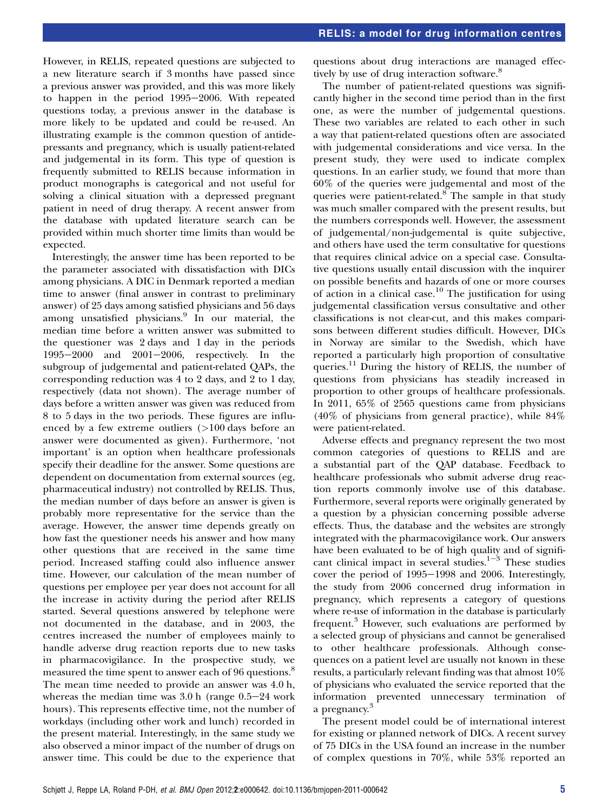However, in RELIS, repeated questions are subjected to a new literature search if 3 months have passed since a previous answer was provided, and this was more likely to happen in the period  $1995-2006$ . With repeated questions today, a previous answer in the database is more likely to be updated and could be re-used. An illustrating example is the common question of antidepressants and pregnancy, which is usually patient-related and judgemental in its form. This type of question is frequently submitted to RELIS because information in product monographs is categorical and not useful for solving a clinical situation with a depressed pregnant patient in need of drug therapy. A recent answer from the database with updated literature search can be provided within much shorter time limits than would be expected.

Interestingly, the answer time has been reported to be the parameter associated with dissatisfaction with DICs among physicians. A DIC in Denmark reported a median time to answer (final answer in contrast to preliminary answer) of 25 days among satisfied physicians and 56 days among unsatisfied physicians.<sup>9</sup> In our material, the median time before a written answer was submitted to the questioner was 2 days and 1 day in the periods  $1995-2000$  and  $2001-2006$ , respectively. In the subgroup of judgemental and patient-related QAPs, the corresponding reduction was 4 to 2 days, and 2 to 1 day, respectively (data not shown). The average number of days before a written answer was given was reduced from 8 to 5 days in the two periods. These figures are influenced by a few extreme outliers (>100 days before an answer were documented as given). Furthermore, 'not important' is an option when healthcare professionals specify their deadline for the answer. Some questions are dependent on documentation from external sources (eg, pharmaceutical industry) not controlled by RELIS. Thus, the median number of days before an answer is given is probably more representative for the service than the average. However, the answer time depends greatly on how fast the questioner needs his answer and how many other questions that are received in the same time period. Increased staffing could also influence answer time. However, our calculation of the mean number of questions per employee per year does not account for all the increase in activity during the period after RELIS started. Several questions answered by telephone were not documented in the database, and in 2003, the centres increased the number of employees mainly to handle adverse drug reaction reports due to new tasks in pharmacovigilance. In the prospective study, we measured the time spent to answer each of 96 questions.<sup>8</sup> The mean time needed to provide an answer was 4.0 h, whereas the median time was  $3.0 h$  (range  $0.5-24$  work hours). This represents effective time, not the number of workdays (including other work and lunch) recorded in the present material. Interestingly, in the same study we also observed a minor impact of the number of drugs on answer time. This could be due to the experience that

questions about drug interactions are managed effectively by use of drug interaction software.<sup>8</sup>

The number of patient-related questions was significantly higher in the second time period than in the first one, as were the number of judgemental questions. These two variables are related to each other in such a way that patient-related questions often are associated with judgemental considerations and vice versa. In the present study, they were used to indicate complex questions. In an earlier study, we found that more than 60% of the queries were judgemental and most of the queries were patient-related.<sup>8</sup> The sample in that study was much smaller compared with the present results, but the numbers corresponds well. However, the assessment of judgemental/non-judgemental is quite subjective, and others have used the term consultative for questions that requires clinical advice on a special case. Consultative questions usually entail discussion with the inquirer on possible benefits and hazards of one or more courses of action in a clinical case.<sup>10</sup> The justification for using judgemental classification versus consultative and other classifications is not clear-cut, and this makes comparisons between different studies difficult. However, DICs in Norway are similar to the Swedish, which have reported a particularly high proportion of consultative queries.<sup>11</sup> During the history of RELIS, the number of questions from physicians has steadily increased in proportion to other groups of healthcare professionals. In 2011, 65% of 2565 questions came from physicians (40% of physicians from general practice), while 84% were patient-related.

Adverse effects and pregnancy represent the two most common categories of questions to RELIS and are a substantial part of the QAP database. Feedback to healthcare professionals who submit adverse drug reaction reports commonly involve use of this database. Furthermore, several reports were originally generated by a question by a physician concerning possible adverse effects. Thus, the database and the websites are strongly integrated with the pharmacovigilance work. Our answers have been evaluated to be of high quality and of significant clinical impact in several studies. $1-\frac{3}{3}$  These studies cover the period of  $1995-1998$  and 2006. Interestingly, the study from 2006 concerned drug information in pregnancy, which represents a category of questions where re-use of information in the database is particularly frequent.<sup>3</sup> However, such evaluations are performed by a selected group of physicians and cannot be generalised to other healthcare professionals. Although consequences on a patient level are usually not known in these results, a particularly relevant finding was that almost 10% of physicians who evaluated the service reported that the information prevented unnecessary termination of a pregnancy.<sup>3</sup>

The present model could be of international interest for existing or planned network of DICs. A recent survey of 75 DICs in the USA found an increase in the number of complex questions in 70%, while 53% reported an